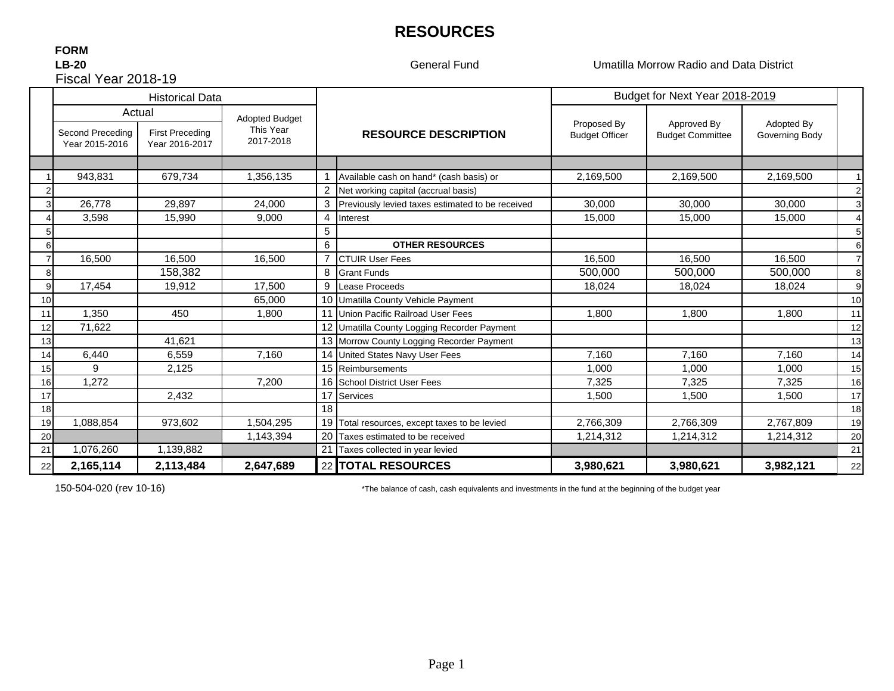# **RESOURCES**

### **FORM** Fiscal Year 2018-19**LB-20**

General Fund

Umatilla Morrow Radio and Data District

|    | <b>Historical Data</b>             |                                                    |                                                 |    |                                                  | Budget for Next Year 2018-2019       |                                        |                              |    |
|----|------------------------------------|----------------------------------------------------|-------------------------------------------------|----|--------------------------------------------------|--------------------------------------|----------------------------------------|------------------------------|----|
|    | Second Preceding<br>Year 2015-2016 | Actual<br><b>First Preceding</b><br>Year 2016-2017 | <b>Adopted Budget</b><br>This Year<br>2017-2018 |    | <b>RESOURCE DESCRIPTION</b>                      | Proposed By<br><b>Budget Officer</b> | Approved By<br><b>Budget Committee</b> | Adopted By<br>Governing Body |    |
|    |                                    |                                                    |                                                 |    |                                                  |                                      |                                        |                              |    |
|    | 943,831                            | 679,734                                            | 1,356,135                                       |    | Available cash on hand* (cash basis) or          | 2,169,500                            | 2,169,500                              | 2,169,500                    |    |
|    |                                    |                                                    |                                                 | 2  | Net working capital (accrual basis)              |                                      |                                        |                              | 2  |
|    | 26,778                             | 29,897                                             | 24,000                                          | 3  | Previously levied taxes estimated to be received | 30,000                               | 30,000                                 | 30.000                       | 3  |
|    | 3,598                              | 15,990                                             | 9.000                                           | 4  | Interest                                         | 15,000                               | 15,000                                 | 15,000                       |    |
|    |                                    |                                                    |                                                 | 5  |                                                  |                                      |                                        |                              | 5  |
|    |                                    |                                                    |                                                 | 6  | <b>OTHER RESOURCES</b>                           |                                      |                                        |                              | 6  |
|    | 16,500                             | 16,500                                             | 16,500                                          | 7  | <b>CTUIR User Fees</b>                           | 16,500                               | 16.500                                 | 16.500                       |    |
| 8  |                                    | 158,382                                            |                                                 | 8  | <b>Grant Funds</b>                               | 500,000                              | 500,000                                | 500,000                      | 8  |
| 9  | 17,454                             | 19,912                                             | 17,500                                          | 9  | Lease Proceeds                                   | 18,024                               | 18.024                                 | 18,024                       | 9  |
| 10 |                                    |                                                    | 65,000                                          |    | 10 Umatilla County Vehicle Payment               |                                      |                                        |                              | 10 |
| 11 | 1,350                              | 450                                                | 1.800                                           |    | 11 Union Pacific Railroad User Fees              | 1.800                                | 1.800                                  | 1,800                        | 11 |
| 12 | 71,622                             |                                                    |                                                 |    | 12 Umatilla County Logging Recorder Payment      |                                      |                                        |                              | 12 |
| 13 |                                    | 41,621                                             |                                                 |    | 13 Morrow County Logging Recorder Payment        |                                      |                                        |                              | 13 |
| 14 | 6,440                              | 6,559                                              | 7,160                                           |    | 14 United States Navy User Fees                  | 7,160                                | 7,160                                  | 7,160                        | 14 |
| 15 | 9                                  | 2,125                                              |                                                 |    | 15 Reimbursements                                | 1,000                                | 1.000                                  | 1,000                        | 15 |
| 16 | 1,272                              |                                                    | 7,200                                           |    | 16 School District User Fees                     | 7,325                                | 7.325                                  | 7,325                        | 16 |
| 17 |                                    | 2.432                                              |                                                 | 17 | Services                                         | 1,500                                | 1.500                                  | 1,500                        | 17 |
| 18 |                                    |                                                    |                                                 | 18 |                                                  |                                      |                                        |                              | 18 |
| 19 | 1,088,854                          | 973,602                                            | 1,504,295                                       |    | 19 Total resources, except taxes to be levied    | 2,766,309                            | 2,766,309                              | 2,767,809                    | 19 |
| 20 |                                    |                                                    | 1,143,394                                       | 20 | Taxes estimated to be received                   | 1,214,312                            | 1,214,312                              | 1,214,312                    | 20 |
| 21 | 1,076,260                          | 1,139,882                                          |                                                 | 21 | Taxes collected in year levied                   |                                      |                                        |                              | 21 |
| 22 | 2,165,114                          | 2,113,484                                          | 2,647,689                                       |    | 22 TOTAL RESOURCES                               | 3,980,621                            | 3,980,621                              | 3,982,121                    | 22 |

150-504-020 (rev 10-16) \*The balance of cash, cash equivalents and investments in the fund at the beginning of the budget year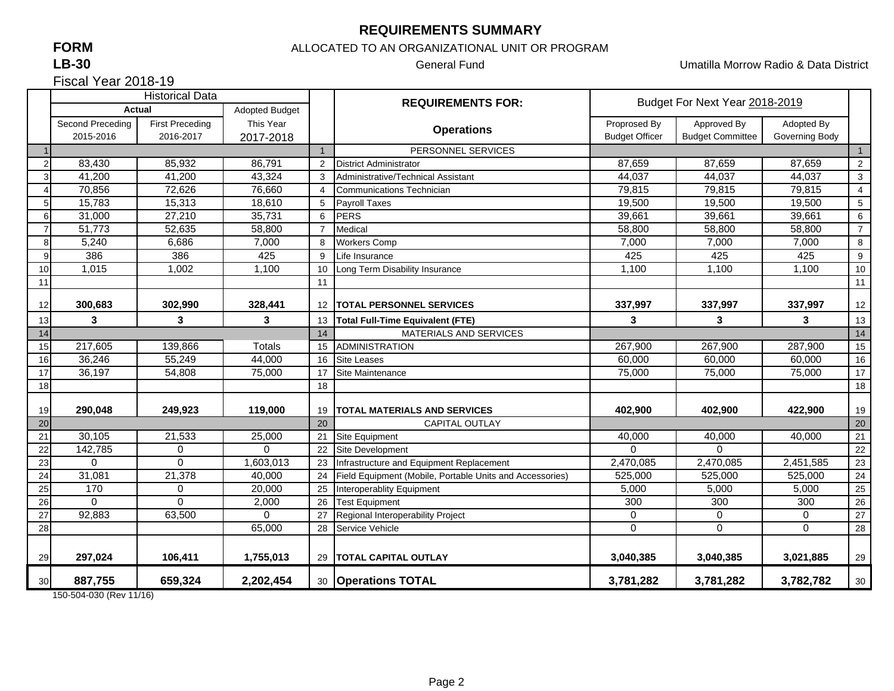## **REQUIREMENTS SUMMARY**

# **FORM**

### **LB-30**

ALLOCATED TO AN ORGANIZATIONAL UNIT OR PROGRAM

General Fund Umatilla Morrow Radio & Data District

Fiscal Year 2018-19

|                 | <b>Historical Data</b>        |                                     |                        |                | <b>REQUIREMENTS FOR:</b>                                 | Budget For Next Year 2018-2019        |                                        |                              |                |
|-----------------|-------------------------------|-------------------------------------|------------------------|----------------|----------------------------------------------------------|---------------------------------------|----------------------------------------|------------------------------|----------------|
|                 | <b>Actual</b>                 |                                     | <b>Adopted Budget</b>  |                |                                                          |                                       |                                        |                              |                |
|                 | Second Preceding<br>2015-2016 | <b>First Preceding</b><br>2016-2017 | This Year<br>2017-2018 |                | <b>Operations</b>                                        | Proprosed By<br><b>Budget Officer</b> | Approved By<br><b>Budget Committee</b> | Adopted By<br>Governing Body |                |
|                 |                               |                                     |                        | $\mathbf{1}$   | PERSONNEL SERVICES                                       |                                       |                                        |                              | $\overline{1}$ |
| $\overline{2}$  | 83,430                        | 85,932                              | 86,791                 | $\overline{2}$ | <b>District Administrator</b>                            | 87,659                                | 87,659                                 | 87,659                       | $\overline{2}$ |
| 3               | 41,200                        | 41,200                              | 43,324                 | 3              | Administrative/Technical Assistant                       | 44,037                                | 44,037                                 | 44,037                       | 3              |
| $\overline{4}$  | 70,856                        | 72,626                              | 76,660                 | 4              | Communications Technician                                | 79,815                                | 79,815                                 | 79,815                       | $\overline{4}$ |
| 5 <sub>l</sub>  | 15,783                        | 15,313                              | 18,610                 | 5              | <b>Payroll Taxes</b>                                     | 19.500                                | 19,500                                 | 19,500                       | 5              |
| 6               | 31,000                        | 27,210                              | 35,731                 | 6              | <b>PERS</b>                                              | 39,661                                | 39,661                                 | 39,661                       | 6              |
| $\overline{7}$  | 51,773                        | 52,635                              | 58,800                 | $\overline{7}$ | Medical                                                  | 58,800                                | 58,800                                 | 58,800                       | $\overline{7}$ |
| 8               | 5,240                         | 6,686                               | 7,000                  | 8              | <b>Workers Comp</b>                                      | 7,000                                 | 7,000                                  | 7,000                        | 8              |
| 9               | 386                           | 386                                 | 425                    | 9              | Life Insurance                                           | 425                                   | 425                                    | 425                          | 9              |
| 10              | 1,015                         | 1,002                               | 1,100                  | 10             | Long Term Disability Insurance                           | 1,100                                 | 1,100                                  | 1,100                        | $10$           |
| 11              |                               |                                     |                        | 11             |                                                          |                                       |                                        |                              | 11             |
|                 |                               |                                     |                        |                |                                                          |                                       |                                        |                              |                |
| 12              | 300,683                       | 302,990                             | 328,441                | 12             | <b>TOTAL PERSONNEL SERVICES</b>                          | 337,997                               | 337,997                                | 337,997                      | 12             |
| 13              | 3                             | 3                                   | 3                      | 13             | <b>Total Full-Time Equivalent (FTE)</b>                  | 3                                     | 3                                      | 3                            | 13             |
| 14              |                               |                                     |                        | 14             | MATERIALS AND SERVICES                                   |                                       |                                        |                              | 14             |
| 15              | 217,605                       | 139,866                             | <b>Totals</b>          | 15             | <b>ADMINISTRATION</b>                                    | 267,900                               | 267,900                                | 287,900                      | 15             |
| 16              | 36,246                        | 55,249                              | 44,000                 | 16             | <b>Site Leases</b>                                       | 60,000                                | 60,000                                 | 60,000                       | 16             |
| 17              | 36,197                        | 54,808                              | 75,000                 | 17             | Site Maintenance                                         | 75,000                                | 75,000                                 | 75,000                       | 17             |
| 18              |                               |                                     |                        | 18             |                                                          |                                       |                                        |                              | 18             |
| 19              | 290.048                       | 249,923                             | 119,000                | 19             | <b>TOTAL MATERIALS AND SERVICES</b>                      | 402,900                               | 402,900                                | 422,900                      | 19             |
| 20              |                               |                                     |                        | 20             | <b>CAPITAL OUTLAY</b>                                    |                                       |                                        |                              | 20             |
| 21              | 30,105                        | 21,533                              | 25,000                 | 21             | <b>Site Equipment</b>                                    | 40,000                                | 40,000                                 | 40,000                       | 21             |
| 22              | 142,785                       | $\mathbf 0$                         | $\Omega$               |                | Site Development                                         | $\Omega$                              | $\Omega$                               |                              | 22             |
| 23              | $\Omega$                      | $\Omega$                            | 1,603,013              | 23             | Infrastructure and Equipment Replacement                 | 2,470,085                             | 2,470,085                              | 2,451,585                    | 23             |
| 24              | 31,081                        | 21,378                              | 40,000                 | 24             | Field Equipment (Mobile, Portable Units and Accessories) | 525,000                               | 525,000                                | 525,000                      | 24             |
| 25              | 170                           | $\mathbf 0$                         | 20,000                 | 25             | Interoperablity Equipment                                | 5,000                                 | 5,000                                  | 5,000                        | 25             |
| 26              | $\Omega$                      | 0                                   | 2,000                  | 26             | <b>Test Equipment</b>                                    | 300                                   | 300                                    | 300                          | 26             |
| $\overline{27}$ | 92,883                        | 63,500                              | $\Omega$               | 27             | Regional Interoperability Project                        | $\mathbf 0$                           | $\mathbf 0$                            | $\mathbf 0$                  | 27             |
| 28              |                               |                                     | 65,000                 | 28             | Service Vehicle                                          | $\Omega$                              | $\mathbf 0$                            | $\mathbf 0$                  | 28             |
|                 |                               |                                     |                        |                |                                                          |                                       |                                        |                              |                |
| 29              | 297,024                       | 106,411                             | 1,755,013              | 29             | <b>TOTAL CAPITAL OUTLAY</b>                              | 3,040,385                             | 3,040,385                              | 3,021,885                    | 29             |
| 30              | 887,755                       | 659,324                             | 2,202,454              |                | 30 Operations TOTAL                                      | 3,781,282                             | 3,781,282                              | 3,782,782                    | 30             |

150-504-030 (Rev 11/16)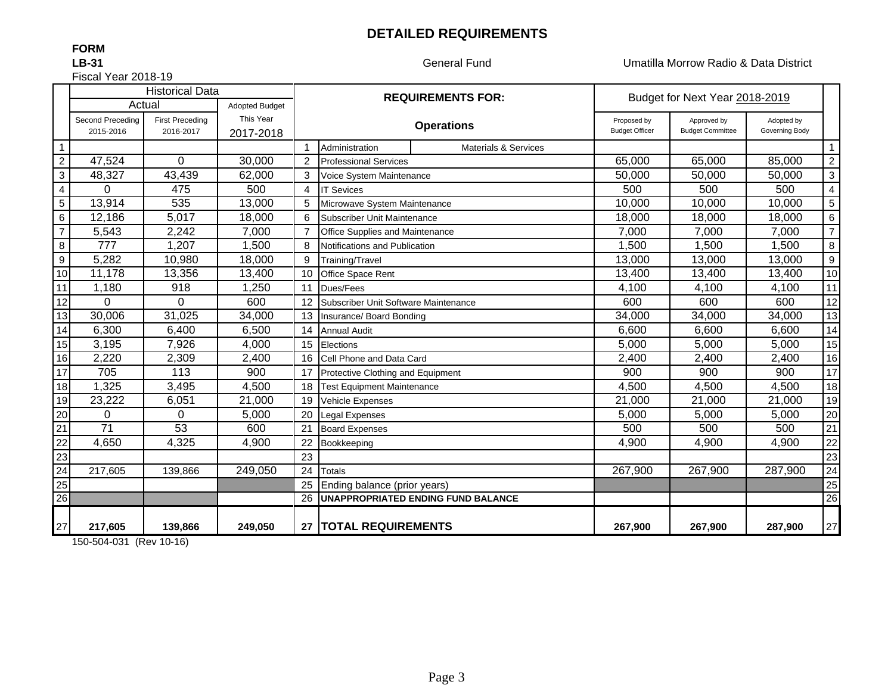## **DETAILED REQUIREMENTS**

**FORM**

### **LB-31**

Fiscal Year 2018-19

General Fund Umatilla Morrow Radio & Data District

|                  |                  | <b>Historical Data</b> |                       | <b>REQUIREMENTS FOR:</b> |                                      |                                           | Budget for Next Year 2018-2019 |                         |                |                         |
|------------------|------------------|------------------------|-----------------------|--------------------------|--------------------------------------|-------------------------------------------|--------------------------------|-------------------------|----------------|-------------------------|
|                  | Actual           |                        | <b>Adopted Budget</b> |                          |                                      |                                           |                                |                         |                |                         |
|                  | Second Preceding | <b>First Preceding</b> | This Year             |                          |                                      | <b>Operations</b>                         | Proposed by                    | Approved by             | Adopted by     |                         |
|                  | 2015-2016        | 2016-2017              | 2017-2018             |                          |                                      |                                           | <b>Budget Officer</b>          | <b>Budget Committee</b> | Governing Body |                         |
| $\overline{1}$   |                  |                        |                       |                          | Administration                       | <b>Materials &amp; Services</b>           |                                |                         |                | $\mathbf{1}$            |
| $\overline{2}$   | 47,524           | 0                      | 30,000                | 2                        | <b>Professional Services</b>         |                                           | 65,000                         | 65,000                  | 85,000         | $\overline{c}$          |
| $\mathbf{3}$     | 48,327           | 43,439                 | 62,000                | 3                        | Voice System Maintenance             |                                           | 50,000                         | 50,000                  | 50,000         | 3                       |
| $\overline{4}$   | 0                | 475                    | 500                   | 4                        | <b>IT Sevices</b>                    |                                           | 500                            | 500                     | 500            | $\overline{\mathbf{4}}$ |
| $\overline{5}$   | 13,914           | 535                    | 13,000                | 5                        | Microwave System Maintenance         |                                           | 10,000                         | 10,000                  | 10,000         | $\sqrt{5}$              |
| $\,6\,$          | 12,186           | 5,017                  | 18,000                | 6                        | Subscriber Unit Maintenance          |                                           | 18,000                         | 18,000                  | 18,000         | 6                       |
| $\overline{7}$   | 5,543            | 2,242                  | 7,000                 |                          | Office Supplies and Maintenance      |                                           | 7,000                          | 7,000                   | 7,000          | $\overline{7}$          |
| $\,8\,$          | 777              | 1,207                  | 1,500                 | 8                        | Notifications and Publication        |                                           | 1,500                          | 1,500                   | 1,500          | 8                       |
| $\boldsymbol{9}$ | 5,282            | 10,980                 | 18,000                | 9                        | Training/Travel                      |                                           | 13,000                         | 13,000                  | 13,000         | 9                       |
| $10$             | 11,178           | 13,356                 | 13,400                | 10                       | <b>Office Space Rent</b>             |                                           | 13,400                         | 13,400                  | 13,400         | $10$                    |
| 11               | 1,180            | 918                    | 1,250                 | 11                       | Dues/Fees                            |                                           | 4,100                          | 4,100                   | 4,100          | 11                      |
| 12               | $\Omega$         | $\Omega$               | 600                   | 12                       | Subscriber Unit Software Maintenance |                                           | 600                            | 600                     | 600            | 12                      |
| 13               | 30,006           | 31,025                 | 34,000                | 13                       | Insurance/ Board Bonding             |                                           | 34,000                         | 34,000                  | 34,000         | 13                      |
| $\overline{14}$  | 6,300            | 6,400                  | 6,500                 | 14                       | <b>Annual Audit</b>                  |                                           | 6,600                          | 6,600                   | 6,600          | 14                      |
| 15               | 3,195            | 7,926                  | 4,000                 | 15                       | Elections                            |                                           | 5,000                          | 5,000                   | 5,000          | 15                      |
| 16               | 2,220            | 2,309                  | 2,400                 | 16                       | Cell Phone and Data Card             |                                           | 2,400                          | 2,400                   | 2,400          | 16                      |
| 17               | 705              | 113                    | 900                   | 17                       | Protective Clothing and Equipment    |                                           | 900                            | 900                     | 900            | $\overline{17}$         |
| 18               | 1,325            | 3,495                  | 4,500                 | 18                       | <b>Test Equipment Maintenance</b>    |                                           | 4,500                          | 4,500                   | 4,500          | 18                      |
| 19               | 23,222           | 6,051                  | 21,000                | 19                       | Vehicle Expenses                     |                                           | 21,000                         | 21,000                  | 21,000         | 19                      |
| 20               | 0                | 0                      | 5,000                 | 20                       | Legal Expenses                       |                                           | 5,000                          | 5,000                   | 5,000          | 20                      |
| $\overline{21}$  | 71               | 53                     | 600                   | 21                       | <b>Board Expenses</b>                |                                           | 500                            | 500                     | 500            | 21                      |
| $\overline{22}$  | 4,650            | 4,325                  | 4,900                 | 22                       | Bookkeeping                          |                                           | 4,900                          | 4,900                   | 4,900          | $\overline{22}$         |
| $\overline{23}$  |                  |                        |                       | 23                       |                                      |                                           |                                |                         |                | $\overline{23}$         |
| $\overline{24}$  | 217.605          | 139,866                | 249,050               | 24                       | <b>Totals</b>                        |                                           | 267,900                        | 267,900                 | 287,900        | $24\,$                  |
| 25               |                  |                        |                       | 25                       | Ending balance (prior years)         |                                           |                                |                         |                | 25                      |
| 26               |                  |                        |                       | 26                       |                                      | <b>UNAPPROPRIATED ENDING FUND BALANCE</b> |                                |                         |                | $\overline{26}$         |
|                  |                  |                        |                       |                          |                                      |                                           |                                |                         |                |                         |
| 27               | 217,605          | 139,866                | 249,050               | 27                       | TOTAL REQUIREMENTS                   |                                           | 267,900                        | 267,900                 | 287,900        | 27                      |

150-504-031 (Rev 10-16)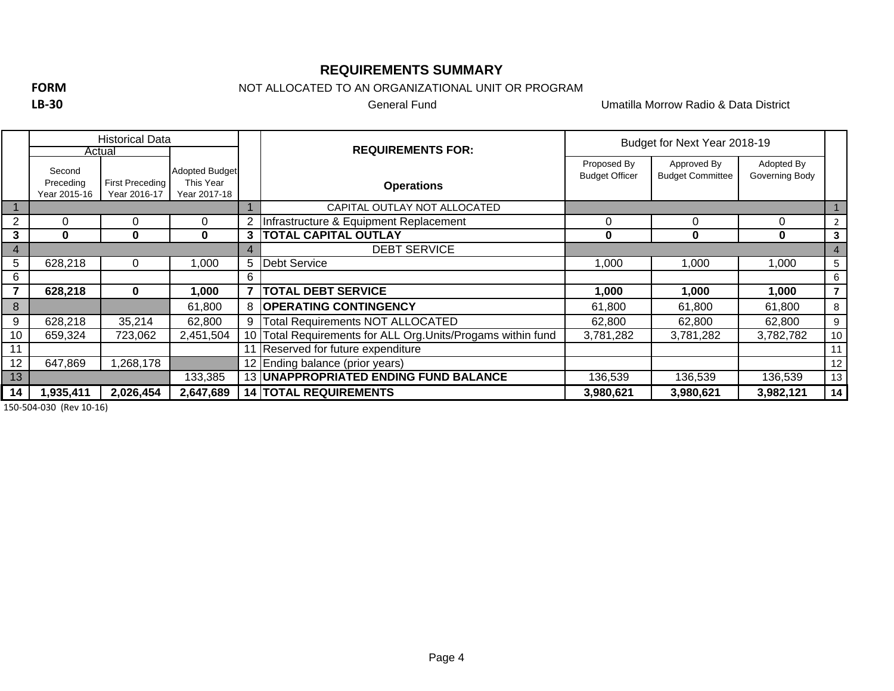## **REQUIREMENTS SUMMARY**

**FORM**

**LB‐30**

NOT ALLOCATED TO AN ORGANIZATIONAL UNIT OR PROGRAM

General Fund

Umatilla Morrow Radio & Data District

|    |                                     | <b>Historical Data</b>          |                                                    |   |                                                           | Budget for Next Year 2018-19         |                                        |                              |                |  |
|----|-------------------------------------|---------------------------------|----------------------------------------------------|---|-----------------------------------------------------------|--------------------------------------|----------------------------------------|------------------------------|----------------|--|
|    | Actual                              |                                 |                                                    |   | <b>REQUIREMENTS FOR:</b>                                  |                                      |                                        |                              |                |  |
|    | Second<br>Preceding<br>Year 2015-16 | First Preceding<br>Year 2016-17 | <b>Adopted Budget</b><br>This Year<br>Year 2017-18 |   | <b>Operations</b>                                         | Proposed By<br><b>Budget Officer</b> | Approved By<br><b>Budget Committee</b> | Adopted By<br>Governing Body |                |  |
|    |                                     |                                 |                                                    |   | CAPITAL OUTLAY NOT ALLOCATED                              |                                      |                                        |                              |                |  |
|    | 0                                   | 0                               | 0                                                  |   | Infrastructure & Equipment Replacement                    | 0                                    | $\Omega$                               | 0                            | $\overline{2}$ |  |
| 3  | $\bf{0}$                            | $\bf{0}$                        | $\mathbf{0}$                                       | 3 | <b>TOTAL CAPITAL OUTLAY</b>                               | 0                                    | 0                                      | 0                            | 3              |  |
| 4  |                                     |                                 |                                                    |   | <b>DEBT SERVICE</b>                                       |                                      |                                        |                              | $\overline{4}$ |  |
| 5  | 628,218                             | 0                               | 000, ا                                             | 5 | <b>Debt Service</b>                                       | 1,000                                | 000, ا                                 | 1,000                        | 5              |  |
| 6  |                                     |                                 |                                                    | 6 |                                                           |                                      |                                        |                              | 6              |  |
|    | 628,218                             | 0                               | 000, ا                                             |   | <b>TOTAL DEBT SERVICE</b>                                 | 1,000                                | 1,000                                  | 1,000                        | $\overline{7}$ |  |
| 8  |                                     |                                 | 61,800                                             | 8 | <b>OPERATING CONTINGENCY</b>                              | 61,800                               | 61,800                                 | 61,800                       | 8              |  |
| 9  | 628,218                             | 35,214                          | 62,800                                             | 9 | Total Requirements NOT ALLOCATED                          | 62,800                               | 62,800                                 | 62,800                       | 9              |  |
| 10 | 659,324                             | 723,062                         | 2,451,504                                          |   | Total Requirements for ALL Org. Units/Progams within fund | 3,781,282                            | 3,781,282                              | 3,782,782                    | 10             |  |
| 11 |                                     |                                 |                                                    |   | Reserved for future expenditure                           |                                      |                                        |                              | 11             |  |
| 12 | 647,869                             | ,268,178                        |                                                    |   | 12 Ending balance (prior years)                           |                                      |                                        |                              | 12             |  |
| 13 |                                     |                                 | 133,385                                            |   | 13 UNAPPROPRIATED ENDING FUND BALANCE                     | 136,539                              | 136,539                                | 136,539                      | 13             |  |
| 14 | 1,935,411                           | 2,026,454                       | 2,647,689                                          |   | <b>14 TOTAL REQUIREMENTS</b>                              | 3,980,621                            | 3,980,621                              | 3,982,121                    | 14             |  |

150‐504‐030 (Rev 10‐16)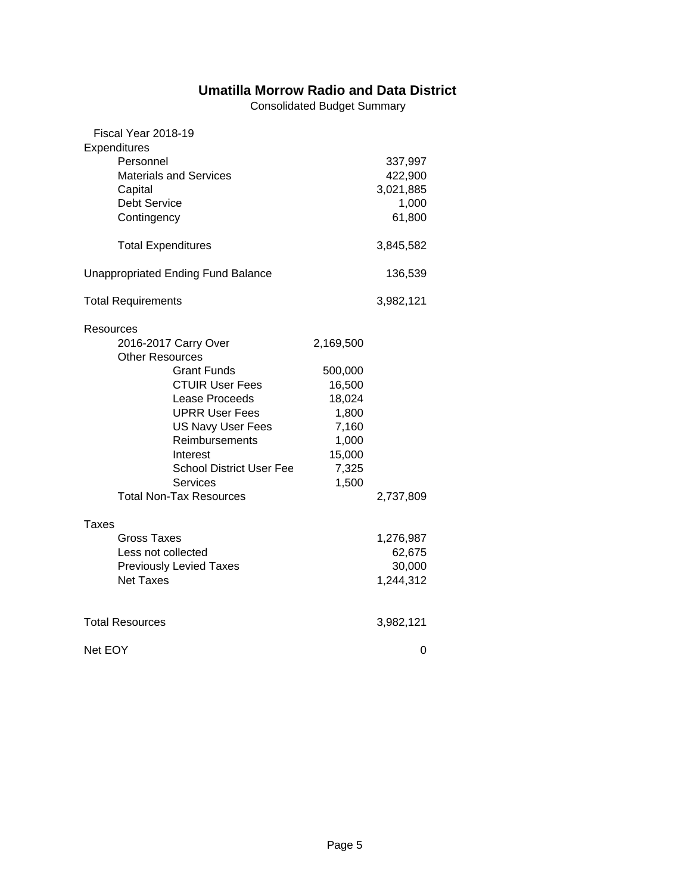# **Umatilla Morrow Radio and Data District**

Consolidated Budget Summary

| Fiscal Year 2018-19<br>Expenditures<br>Personnel<br><b>Materials and Services</b><br>Capital<br>Debt Service<br>Contingency                                                                                                                                                                              |                                                                                                 | 337,997<br>422,900<br>3,021,885<br>1,000<br>61,800 |
|----------------------------------------------------------------------------------------------------------------------------------------------------------------------------------------------------------------------------------------------------------------------------------------------------------|-------------------------------------------------------------------------------------------------|----------------------------------------------------|
| <b>Total Expenditures</b>                                                                                                                                                                                                                                                                                |                                                                                                 | 3,845,582                                          |
| <b>Unappropriated Ending Fund Balance</b>                                                                                                                                                                                                                                                                |                                                                                                 | 136,539                                            |
| <b>Total Requirements</b>                                                                                                                                                                                                                                                                                |                                                                                                 | 3,982,121                                          |
| Resources<br>2016-2017 Carry Over<br><b>Other Resources</b><br><b>Grant Funds</b><br><b>CTUIR User Fees</b><br>Lease Proceeds<br><b>UPRR User Fees</b><br><b>US Navy User Fees</b><br>Reimbursements<br>Interest<br><b>School District User Fee</b><br><b>Services</b><br><b>Total Non-Tax Resources</b> | 2,169,500<br>500,000<br>16,500<br>18,024<br>1,800<br>7,160<br>1,000<br>15,000<br>7,325<br>1,500 | 2,737,809                                          |
| Taxes<br><b>Gross Taxes</b><br>Less not collected<br><b>Previously Levied Taxes</b><br><b>Net Taxes</b>                                                                                                                                                                                                  |                                                                                                 | 1,276,987<br>62,675<br>30,000<br>1,244,312         |
| <b>Total Resources</b>                                                                                                                                                                                                                                                                                   | 3,982,121                                                                                       |                                                    |
| Net EOY                                                                                                                                                                                                                                                                                                  | 0                                                                                               |                                                    |